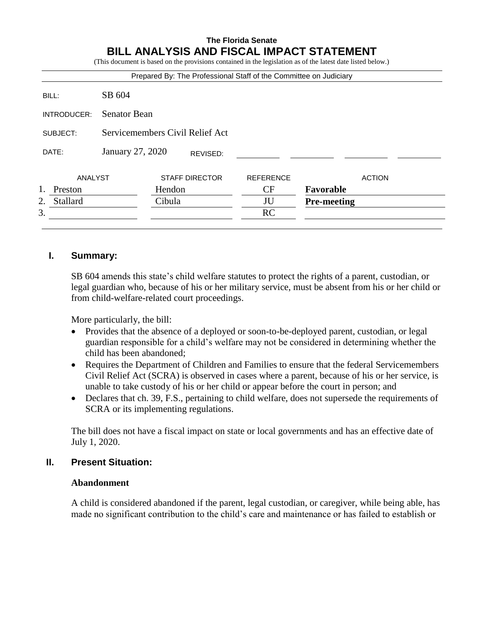# **The Florida Senate BILL ANALYSIS AND FISCAL IMPACT STATEMENT**

(This document is based on the provisions contained in the legislation as of the latest date listed below.)

| Prepared By: The Professional Staff of the Committee on Judiciary |                                 |                       |  |                  |                    |               |
|-------------------------------------------------------------------|---------------------------------|-----------------------|--|------------------|--------------------|---------------|
| BILL:                                                             | SB 604                          |                       |  |                  |                    |               |
| INTRODUCER:                                                       | <b>Senator Bean</b>             |                       |  |                  |                    |               |
| SUBJECT:                                                          | Servicemembers Civil Relief Act |                       |  |                  |                    |               |
| DATE:                                                             | January 27, 2020<br>REVISED:    |                       |  |                  |                    |               |
| ANALYST                                                           |                                 | <b>STAFF DIRECTOR</b> |  | <b>REFERENCE</b> |                    | <b>ACTION</b> |
| Preston                                                           |                                 | Hendon                |  | CF               | Favorable          |               |
| Stallard<br>2.                                                    |                                 | Cibula                |  | JU               | <b>Pre-meeting</b> |               |
| 3.                                                                |                                 |                       |  | RC               |                    |               |
|                                                                   |                                 |                       |  |                  |                    |               |

### **I. Summary:**

SB 604 amends this state's child welfare statutes to protect the rights of a parent, custodian, or legal guardian who, because of his or her military service, must be absent from his or her child or from child-welfare-related court proceedings.

More particularly, the bill:

- Provides that the absence of a deployed or soon-to-be-deployed parent, custodian, or legal guardian responsible for a child's welfare may not be considered in determining whether the child has been abandoned;
- Requires the Department of Children and Families to ensure that the federal Servicemembers Civil Relief Act (SCRA) is observed in cases where a parent, because of his or her service, is unable to take custody of his or her child or appear before the court in person; and
- Declares that ch. 39, F.S., pertaining to child welfare, does not supersede the requirements of SCRA or its implementing regulations.

The bill does not have a fiscal impact on state or local governments and has an effective date of July 1, 2020.

### **II. Present Situation:**

## **Abandonment**

A child is considered abandoned if the parent, legal custodian, or caregiver, while being able, has made no significant contribution to the child's care and maintenance or has failed to establish or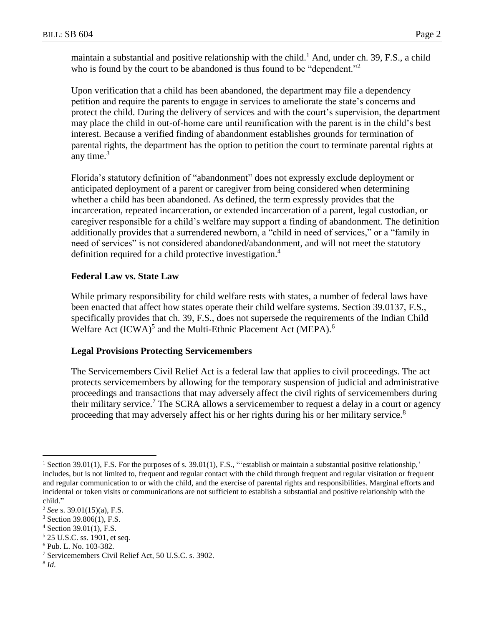maintain a substantial and positive relationship with the child.<sup>1</sup> And, under ch. 39, F.S., a child who is found by the court to be abandoned is thus found to be "dependent."<sup>2</sup>

Upon verification that a child has been abandoned, the department may file a dependency petition and require the parents to engage in services to ameliorate the state's concerns and protect the child. During the delivery of services and with the court's supervision, the department may place the child in out-of-home care until reunification with the parent is in the child's best interest. Because a verified finding of abandonment establishes grounds for termination of parental rights, the department has the option to petition the court to terminate parental rights at any time. $3$ 

Florida's statutory definition of "abandonment" does not expressly exclude deployment or anticipated deployment of a parent or caregiver from being considered when determining whether a child has been abandoned. As defined, the term expressly provides that the incarceration, repeated incarceration, or extended incarceration of a parent, legal custodian, or caregiver responsible for a child's welfare may support a finding of abandonment. The definition additionally provides that a surrendered newborn, a "child in need of services," or a "family in need of services" is not considered abandoned/abandonment, and will not meet the statutory definition required for a child protective investigation.<sup>4</sup>

### **Federal Law vs. State Law**

While primary responsibility for child welfare rests with states, a number of federal laws have been enacted that affect how states operate their child welfare systems. Section 39.0137, F.S., specifically provides that ch. 39, F.S., does not supersede the requirements of the Indian Child Welfare Act (ICWA)<sup>5</sup> and the Multi-Ethnic Placement Act (MEPA).<sup>6</sup>

### **Legal Provisions Protecting Servicemembers**

The Servicemembers Civil Relief Act is a federal law that applies to civil proceedings. The act protects servicemembers by allowing for the temporary suspension of judicial and administrative proceedings and transactions that may adversely affect the civil rights of servicemembers during their military service.<sup>7</sup> The SCRA allows a servicemember to request a delay in a court or agency proceeding that may adversely affect his or her rights during his or her military service.<sup>8</sup>

- $4$  Section 39.01(1), F.S.
- <sup>5</sup> 25 U.S.C. ss. 1901, et seq.

- <sup>7</sup> Servicemembers Civil Relief Act, 50 U.S.C. s. 3902.
- 8 *Id*.

 $\overline{a}$ 

<sup>&</sup>lt;sup>1</sup> Section 39.01(1), F.S. For the purposes of s. 39.01(1), F.S., "establish or maintain a substantial positive relationship," includes, but is not limited to, frequent and regular contact with the child through frequent and regular visitation or frequent and regular communication to or with the child, and the exercise of parental rights and responsibilities. Marginal efforts and incidental or token visits or communications are not sufficient to establish a substantial and positive relationship with the child."

<sup>2</sup> *See* s. 39.01(15)(a), F.S.

 $3$  Section 39.806(1), F.S.

<sup>6</sup> Pub. L. No. 103-382.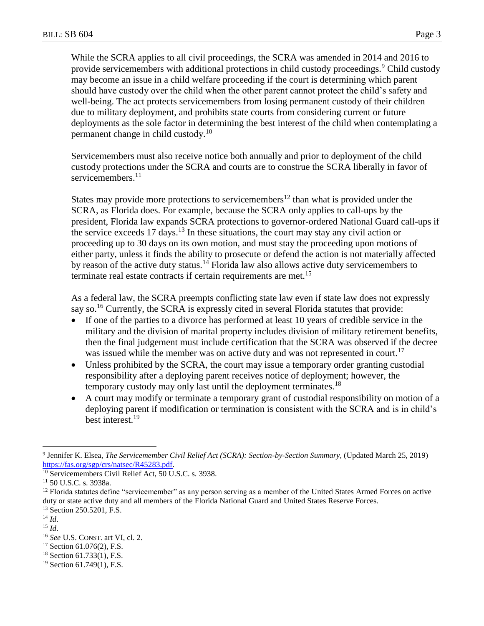While the SCRA applies to all civil proceedings, the SCRA was amended in 2014 and 2016 to provide servicemembers with additional protections in child custody proceedings.<sup>9</sup> Child custody may become an issue in a child welfare proceeding if the court is determining which parent should have custody over the child when the other parent cannot protect the child's safety and well-being. The act protects servicemembers from losing permanent custody of their children due to military deployment, and prohibits state courts from considering current or future deployments as the sole factor in determining the best interest of the child when contemplating a permanent change in child custody.<sup>10</sup>

Servicemembers must also receive notice both annually and prior to deployment of the child custody protections under the SCRA and courts are to construe the SCRA liberally in favor of servicemembers.<sup>11</sup>

States may provide more protections to servicemembers<sup>12</sup> than what is provided under the SCRA, as Florida does. For example, because the SCRA only applies to call-ups by the president, Florida law expands SCRA protections to governor-ordered National Guard call-ups if the service exceeds  $17 \text{ days}$ .<sup>13</sup> In these situations, the court may stay any civil action or proceeding up to 30 days on its own motion, and must stay the proceeding upon motions of either party, unless it finds the ability to prosecute or defend the action is not materially affected by reason of the active duty status.<sup>14</sup> Florida law also allows active duty servicemembers to terminate real estate contracts if certain requirements are met.<sup>15</sup>

As a federal law, the SCRA preempts conflicting state law even if state law does not expressly say so.<sup>16</sup> Currently, the SCRA is expressly cited in several Florida statutes that provide:

- If one of the parties to a divorce has performed at least 10 years of credible service in the military and the division of marital property includes division of military retirement benefits, then the final judgement must include certification that the SCRA was observed if the decree was issued while the member was on active duty and was not represented in court.<sup>17</sup>
- Unless prohibited by the SCRA, the court may issue a temporary order granting custodial responsibility after a deploying parent receives notice of deployment; however, the temporary custody may only last until the deployment terminates.<sup>18</sup>
- A court may modify or terminate a temporary grant of custodial responsibility on motion of a deploying parent if modification or termination is consistent with the SCRA and is in child's best interest.<sup>19</sup>

<sup>14</sup> *Id*.

 $\overline{a}$ 

<sup>15</sup> *Id*.

- <sup>17</sup> Section 61.076(2), F.S.
- <sup>18</sup> Section 61.733(1), F.S.

<sup>9</sup> Jennifer K. Elsea, *The Servicemember Civil Relief Act (SCRA): Section-by-Section Summary*, (Updated March 25, 2019) [https://fas.org/sgp/crs/natsec/R45283.pdf.](https://fas.org/sgp/crs/natsec/R45283.pdf)

<sup>&</sup>lt;sup>10</sup> Servicemembers Civil Relief Act, 50 U.S.C. s. 3938.

<sup>11</sup> 50 U.S.C. s. 3938a.

<sup>&</sup>lt;sup>12</sup> Florida statutes define "servicemember" as any person serving as a member of the United States Armed Forces on active duty or state active duty and all members of the Florida National Guard and United States Reserve Forces.

<sup>&</sup>lt;sup>13</sup> Section 250.5201, F.S.

<sup>16</sup> *See* U.S. CONST. art VI, cl. 2.

<sup>&</sup>lt;sup>19</sup> Section 61.749(1), F.S.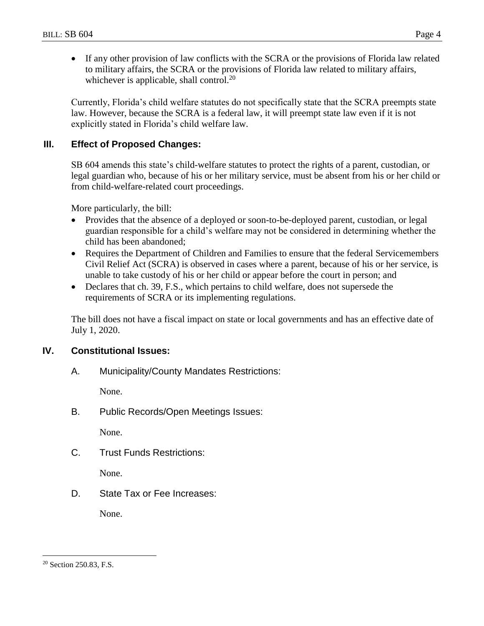If any other provision of law conflicts with the SCRA or the provisions of Florida law related to military affairs, the SCRA or the provisions of Florida law related to military affairs, whichever is applicable, shall control.<sup>20</sup>

Currently, Florida's child welfare statutes do not specifically state that the SCRA preempts state law. However, because the SCRA is a federal law, it will preempt state law even if it is not explicitly stated in Florida's child welfare law.

## **III. Effect of Proposed Changes:**

SB 604 amends this state's child-welfare statutes to protect the rights of a parent, custodian, or legal guardian who, because of his or her military service, must be absent from his or her child or from child-welfare-related court proceedings.

More particularly, the bill:

- Provides that the absence of a deployed or soon-to-be-deployed parent, custodian, or legal guardian responsible for a child's welfare may not be considered in determining whether the child has been abandoned;
- Requires the Department of Children and Families to ensure that the federal Servicemembers Civil Relief Act (SCRA) is observed in cases where a parent, because of his or her service, is unable to take custody of his or her child or appear before the court in person; and
- Declares that ch. 39, F.S., which pertains to child welfare, does not supersede the requirements of SCRA or its implementing regulations.

The bill does not have a fiscal impact on state or local governments and has an effective date of July 1, 2020.

## **IV. Constitutional Issues:**

A. Municipality/County Mandates Restrictions:

None.

B. Public Records/Open Meetings Issues:

None.

C. Trust Funds Restrictions:

None.

D. State Tax or Fee Increases:

None.

 $\overline{a}$ 

<sup>20</sup> Section 250.83, F.S.